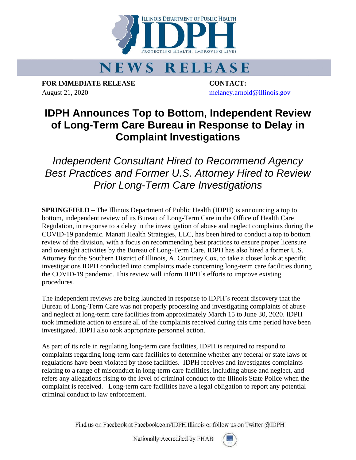

## **NEWS RELEASE**

**FOR IMMEDIATE RELEASE CONTACT:** August 21, 2020 [melaney.arnold@illinois.gov](mailto:melaney.arnold@illinois.gov)

## **IDPH Announces Top to Bottom, Independent Review of Long-Term Care Bureau in Response to Delay in Complaint Investigations**

*Independent Consultant Hired to Recommend Agency Best Practices and Former U.S. Attorney Hired to Review Prior Long-Term Care Investigations*

**SPRINGFIELD** – The Illinois Department of Public Health (IDPH) is announcing a top to bottom, independent review of its Bureau of Long-Term Care in the Office of Health Care Regulation, in response to a delay in the investigation of abuse and neglect complaints during the COVID-19 pandemic. Manatt Health Strategies, LLC, has been hired to conduct a top to bottom review of the division, with a focus on recommending best practices to ensure proper licensure and oversight activities by the Bureau of Long-Term Care. IDPH has also hired a former U.S. Attorney for the Southern District of Illinois, A. Courtney Cox, to take a closer look at specific investigations IDPH conducted into complaints made concerning long-term care facilities during the COVID-19 pandemic. This review will inform IDPH's efforts to improve existing procedures.

The independent reviews are being launched in response to IDPH's recent discovery that the Bureau of Long-Term Care was not properly processing and investigating complaints of abuse and neglect at long-term care facilities from approximately March 15 to June 30, 2020. IDPH took immediate action to ensure all of the complaints received during this time period have been investigated. IDPH also took appropriate personnel action.

As part of its role in regulating long-term care facilities, IDPH is required to respond to complaints regarding long-term care facilities to determine whether any federal or state laws or regulations have been violated by those facilities. IDPH receives and investigates complaints relating to a range of misconduct in long-term care facilities, including abuse and neglect, and refers any allegations rising to the level of criminal conduct to the Illinois State Police when the complaint is received. Long-term care facilities have a legal obligation to report any potential criminal conduct to law enforcement.

Find us on Facebook at Facebook.com/IDPH.Illinois or follow us on Twitter @IDPH

Nationally Accredited by PHAB

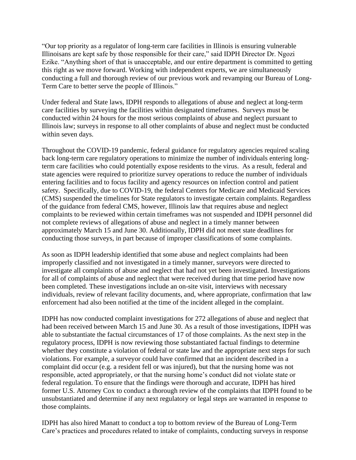"Our top priority as a regulator of long-term care facilities in Illinois is ensuring vulnerable Illinoisans are kept safe by those responsible for their care," said IDPH Director Dr. Ngozi Ezike. "Anything short of that is unacceptable, and our entire department is committed to getting this right as we move forward. Working with independent experts, we are simultaneously conducting a full and thorough review of our previous work and revamping our Bureau of Long-Term Care to better serve the people of Illinois."

Under federal and State laws, IDPH responds to allegations of abuse and neglect at long-term care facilities by surveying the facilities within designated timeframes. Surveys must be conducted within 24 hours for the most serious complaints of abuse and neglect pursuant to Illinois law; surveys in response to all other complaints of abuse and neglect must be conducted within seven days.

Throughout the COVID-19 pandemic, federal guidance for regulatory agencies required scaling back long-term care regulatory operations to minimize the number of individuals entering longterm care facilities who could potentially expose residents to the virus. As a result, federal and state agencies were required to prioritize survey operations to reduce the number of individuals entering facilities and to focus facility and agency resources on infection control and patient safety. Specifically, due to COVID-19, the federal Centers for Medicare and Medicaid Services (CMS) suspended the timelines for State regulators to investigate certain complaints. Regardless of the guidance from federal CMS, however, Illinois law that requires abuse and neglect complaints to be reviewed within certain timeframes was not suspended and IDPH personnel did not complete reviews of allegations of abuse and neglect in a timely manner between approximately March 15 and June 30. Additionally, IDPH did not meet state deadlines for conducting those surveys, in part because of improper classifications of some complaints.

As soon as IDPH leadership identified that some abuse and neglect complaints had been improperly classified and not investigated in a timely manner, surveyors were directed to investigate all complaints of abuse and neglect that had not yet been investigated. Investigations for all of complaints of abuse and neglect that were received during that time period have now been completed. These investigations include an on-site visit, interviews with necessary individuals, review of relevant facility documents, and, where appropriate, confirmation that law enforcement had also been notified at the time of the incident alleged in the complaint.

IDPH has now conducted complaint investigations for 272 allegations of abuse and neglect that had been received between March 15 and June 30. As a result of those investigations, IDPH was able to substantiate the factual circumstances of 17 of those complaints. As the next step in the regulatory process, IDPH is now reviewing those substantiated factual findings to determine whether they constitute a violation of federal or state law and the appropriate next steps for such violations. For example, a surveyor could have confirmed that an incident described in a complaint did occur (e.g. a resident fell or was injured), but that the nursing home was not responsible, acted appropriately, or that the nursing home's conduct did not violate state or federal regulation. To ensure that the findings were thorough and accurate, IDPH has hired former U.S. Attorney Cox to conduct a thorough review of the complaints that IDPH found to be unsubstantiated and determine if any next regulatory or legal steps are warranted in response to those complaints.

IDPH has also hired Manatt to conduct a top to bottom review of the Bureau of Long-Term Care's practices and procedures related to intake of complaints, conducting surveys in response